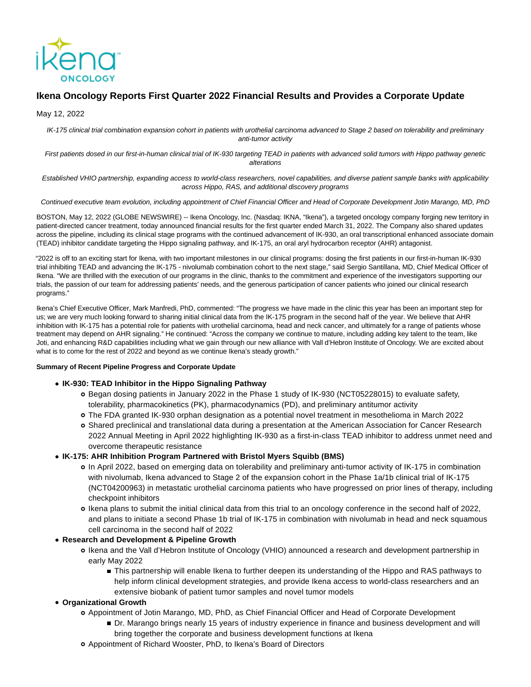

# **Ikena Oncology Reports First Quarter 2022 Financial Results and Provides a Corporate Update**

May 12, 2022

IK-175 clinical trial combination expansion cohort in patients with urothelial carcinoma advanced to Stage 2 based on tolerability and preliminary anti-tumor activity

First patients dosed in our first-in-human clinical trial of IK-930 targeting TEAD in patients with advanced solid tumors with Hippo pathway genetic alterations

Established VHIO partnership, expanding access to world-class researchers, novel capabilities, and diverse patient sample banks with applicability across Hippo, RAS, and additional discovery programs

Continued executive team evolution, including appointment of Chief Financial Officer and Head of Corporate Development Jotin Marango, MD, PhD

BOSTON, May 12, 2022 (GLOBE NEWSWIRE) -- Ikena Oncology, Inc. (Nasdaq: IKNA, "Ikena"), a targeted oncology company forging new territory in patient-directed cancer treatment, today announced financial results for the first quarter ended March 31, 2022. The Company also shared updates across the pipeline, including its clinical stage programs with the continued advancement of IK-930, an oral transcriptional enhanced associate domain (TEAD) inhibitor candidate targeting the Hippo signaling pathway, and IK-175, an oral aryl hydrocarbon receptor (AHR) antagonist.

"2022 is off to an exciting start for Ikena, with two important milestones in our clinical programs: dosing the first patients in our first-in-human IK-930 trial inhibiting TEAD and advancing the IK-175 - nivolumab combination cohort to the next stage," said Sergio Santillana, MD, Chief Medical Officer of Ikena. "We are thrilled with the execution of our programs in the clinic, thanks to the commitment and experience of the investigators supporting our trials, the passion of our team for addressing patients' needs, and the generous participation of cancer patients who joined our clinical research programs."

Ikena's Chief Executive Officer, Mark Manfredi, PhD, commented: "The progress we have made in the clinic this year has been an important step for us; we are very much looking forward to sharing initial clinical data from the IK-175 program in the second half of the year. We believe that AHR inhibition with IK-175 has a potential role for patients with urothelial carcinoma, head and neck cancer, and ultimately for a range of patients whose treatment may depend on AHR signaling." He continued: "Across the company we continue to mature, including adding key talent to the team, like Joti, and enhancing R&D capabilities including what we gain through our new alliance with Vall d'Hebron Institute of Oncology. We are excited about what is to come for the rest of 2022 and beyond as we continue Ikena's steady growth."

### **Summary of Recent Pipeline Progress and Corporate Update**

- **IK-930: TEAD Inhibitor in the Hippo Signaling Pathway**
	- Began dosing patients in January 2022 in the Phase 1 study of IK-930 (NCT05228015) to evaluate safety, tolerability, pharmacokinetics (PK), pharmacodynamics (PD), and preliminary antitumor activity
	- The FDA granted IK-930 orphan designation as a potential novel treatment in mesothelioma in March 2022
	- Shared preclinical and translational data during a presentation at the American Association for Cancer Research 2022 Annual Meeting in April 2022 highlighting IK-930 as a first-in-class TEAD inhibitor to address unmet need and overcome therapeutic resistance
- **IK-175: AHR Inhibition Program Partnered with Bristol Myers Squibb (BMS)**
	- In April 2022, based on emerging data on tolerability and preliminary anti-tumor activity of IK-175 in combination with nivolumab, Ikena advanced to Stage 2 of the expansion cohort in the Phase 1a/1b clinical trial of IK-175 (NCT04200963) in metastatic urothelial carcinoma patients who have progressed on prior lines of therapy, including checkpoint inhibitors
	- Ikena plans to submit the initial clinical data from this trial to an oncology conference in the second half of 2022, and plans to initiate a second Phase 1b trial of IK-175 in combination with nivolumab in head and neck squamous cell carcinoma in the second half of 2022
- **Research and Development & Pipeline Growth**
	- Ikena and the Vall d'Hebron Institute of Oncology (VHIO) announced a research and development partnership in early May 2022
		- This partnership will enable Ikena to further deepen its understanding of the Hippo and RAS pathways to help inform clinical development strategies, and provide Ikena access to world-class researchers and an extensive biobank of patient tumor samples and novel tumor models

## **Organizational Growth**

- Appointment of Jotin Marango, MD, PhD, as Chief Financial Officer and Head of Corporate Development
	- Dr. Marango brings nearly 15 years of industry experience in finance and business development and will bring together the corporate and business development functions at Ikena
- Appointment of Richard Wooster, PhD, to Ikena's Board of Directors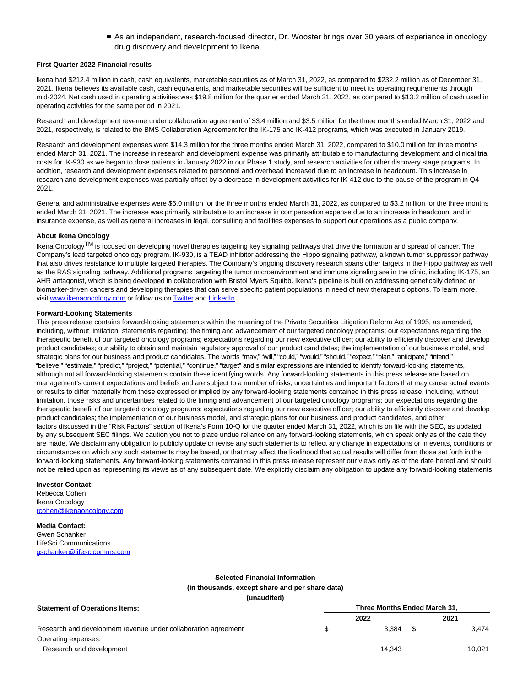## As an independent, research-focused director, Dr. Wooster brings over 30 years of experience in oncology drug discovery and development to Ikena

#### **First Quarter 2022 Financial results**

Ikena had \$212.4 million in cash, cash equivalents, marketable securities as of March 31, 2022, as compared to \$232.2 million as of December 31, 2021. Ikena believes its available cash, cash equivalents, and marketable securities will be sufficient to meet its operating requirements through mid-2024. Net cash used in operating activities was \$19.8 million for the quarter ended March 31, 2022, as compared to \$13.2 million of cash used in operating activities for the same period in 2021.

Research and development revenue under collaboration agreement of \$3.4 million and \$3.5 million for the three months ended March 31, 2022 and 2021, respectively, is related to the BMS Collaboration Agreement for the IK-175 and IK-412 programs, which was executed in January 2019.

Research and development expenses were \$14.3 million for the three months ended March 31, 2022, compared to \$10.0 million for three months ended March 31, 2021. The increase in research and development expense was primarily attributable to manufacturing development and clinical trial costs for IK-930 as we began to dose patients in January 2022 in our Phase 1 study, and research activities for other discovery stage programs. In addition, research and development expenses related to personnel and overhead increased due to an increase in headcount. This increase in research and development expenses was partially offset by a decrease in development activities for IK-412 due to the pause of the program in Q4 2021.

General and administrative expenses were \$6.0 million for the three months ended March 31, 2022, as compared to \$3.2 million for the three months ended March 31, 2021. The increase was primarily attributable to an increase in compensation expense due to an increase in headcount and in insurance expense, as well as general increases in legal, consulting and facilities expenses to support our operations as a public company.

## **About Ikena Oncology**

Ikena Oncology<sup>TM</sup> is focused on developing novel therapies targeting key signaling pathways that drive the formation and spread of cancer. The Company's lead targeted oncology program, IK-930, is a TEAD inhibitor addressing the Hippo signaling pathway, a known tumor suppressor pathway that also drives resistance to multiple targeted therapies. The Company's ongoing discovery research spans other targets in the Hippo pathway as well as the RAS signaling pathway. Additional programs targeting the tumor microenvironment and immune signaling are in the clinic, including IK-175, an AHR antagonist, which is being developed in collaboration with Bristol Myers Squibb. Ikena's pipeline is built on addressing genetically defined or biomarker-driven cancers and developing therapies that can serve specific patient populations in need of new therapeutic options. To learn more, visit [www.ikenaoncology.com o](https://www.globenewswire.com/Tracker?data=e2ggs39fWCXyB9UYHAJWPxDpkxFISpQm-qq2Lp_Amelev2g552wLgIoy93oq06up7hZ-1xBs_Eq42U-44oYvR9vWtcotKXyLa3ZBrC3K3i-YzNCCqvrt2B9d5L9kFQarClwIcUiRlxPtQ7eeNJSjQpdHS4DTib1M2T4trmGnIQBfpHmOrgmeDW6_1TGgoiafkHHmWMXmrwiVR6TfdpE7AngPYRRzgbwtBWFVeqUtHMCm6w7zBOrl_pghRCm05q5IUCCJz1I9rB5FH8Fs4JwAMA==)r follow us on [Twitter a](https://www.globenewswire.com/Tracker?data=IxM63rrOy2YcJ_D68sMBDBg15Koke5ice-QrpjkWJuWLM_atF9NMQ6cx4sasbaHNUzJRN0XnIKeP_Qi97fo9Yuk9phJN-x0bZ0LvMgqkuzbPRjsoY7Q6yRR0V-j1mGYoMS8GP3gtVOFrcINC2dX83B59AteJsNoLTRDrHGufXpgIXywonyfAZk_GEODgrASChKH6dpu8B_vMG2Y2SBtkJ7FJT13_h5EIFUKtc2ySrTE=)nd [LinkedIn.](https://www.globenewswire.com/Tracker?data=h_uNAfIrJgROBEawlOheYtwKqRy7sdE90DQ4CpzZs9IEs1qOVJxrWmmuOwakiR-F0u2JQt2MaKJephshe3s-jOpomTuDI8keCYyU-3RsaeItBpCO7MtwodWBjb5tB1EUqqUkUYbsulT1DpzXwRfj6mKe-BDOv3-8ABybOFPWdHQ8O17bw1TpZ6dWGfMNJV5_VCoW3ch9T7Ikj35WxIpGOObMu6eg91TwR-5-tFNiqsEioSuaqlIspbV3vTgGbZit)

### **Forward-Looking Statements**

This press release contains forward-looking statements within the meaning of the Private Securities Litigation Reform Act of 1995, as amended, including, without limitation, statements regarding: the timing and advancement of our targeted oncology programs; our expectations regarding the therapeutic benefit of our targeted oncology programs; expectations regarding our new executive officer; our ability to efficiently discover and develop product candidates; our ability to obtain and maintain regulatory approval of our product candidates; the implementation of our business model, and strategic plans for our business and product candidates. The words "may," "will," "could," "would," "should," "expect," "plan," "anticipate," "intend," "believe," "estimate," "predict," "project," "potential," "continue," "target" and similar expressions are intended to identify forward-looking statements, although not all forward-looking statements contain these identifying words. Any forward-looking statements in this press release are based on management's current expectations and beliefs and are subject to a number of risks, uncertainties and important factors that may cause actual events or results to differ materially from those expressed or implied by any forward-looking statements contained in this press release, including, without limitation, those risks and uncertainties related to the timing and advancement of our targeted oncology programs; our expectations regarding the therapeutic benefit of our targeted oncology programs; expectations regarding our new executive officer; our ability to efficiently discover and develop product candidates; the implementation of our business model, and strategic plans for our business and product candidates, and other factors discussed in the "Risk Factors" section of Ikena's Form 10-Q for the quarter ended March 31, 2022, which is on file with the SEC, as updated by any subsequent SEC filings. We caution you not to place undue reliance on any forward-looking statements, which speak only as of the date they are made. We disclaim any obligation to publicly update or revise any such statements to reflect any change in expectations or in events, conditions or circumstances on which any such statements may be based, or that may affect the likelihood that actual results will differ from those set forth in the forward-looking statements. Any forward-looking statements contained in this press release represent our views only as of the date hereof and should not be relied upon as representing its views as of any subsequent date. We explicitly disclaim any obligation to update any forward-looking statements.

#### **Investor Contact:**

Rebecca Cohen Ikena Oncology [rcohen@ikenaoncology.com](https://www.globenewswire.com/Tracker?data=CGDmnBQ-exZMOPnfyrYR245BRm-uJj0Vux-3ZwWvc8fb913lipUJO6Hav37Wn461QteVO_laMqyp8BGk8nRnq71LSR6wlStIy60Zxsza4Kg=)

#### **Media Contact:**

Gwen Schanker LifeSci Communications [gschanker@lifescicomms.com](https://www.globenewswire.com/Tracker?data=H-SOMETJ-4n2GsGIdeYH1ymRbY3G-HeukVbsTo5t_mbGrw_9fmnmFguk3LdhZe5nyhQv9yeFR-nyqw2ZkIKTAF_8Ad5yGfHy1jyLDdMEUvmnEthAx2YzET0voMv3YV2Y)

# **Selected Financial Information (in thousands, except share and per share data)**

| <b>Statement of Operations Items:</b>                          | Three Months Ended March 31. |        |  |        |
|----------------------------------------------------------------|------------------------------|--------|--|--------|
|                                                                |                              | 2022   |  | 2021   |
| Research and development revenue under collaboration agreement |                              | 3.384  |  | 3.474  |
| Operating expenses:                                            |                              |        |  |        |
| Research and development                                       |                              | 14.343 |  | 10.021 |